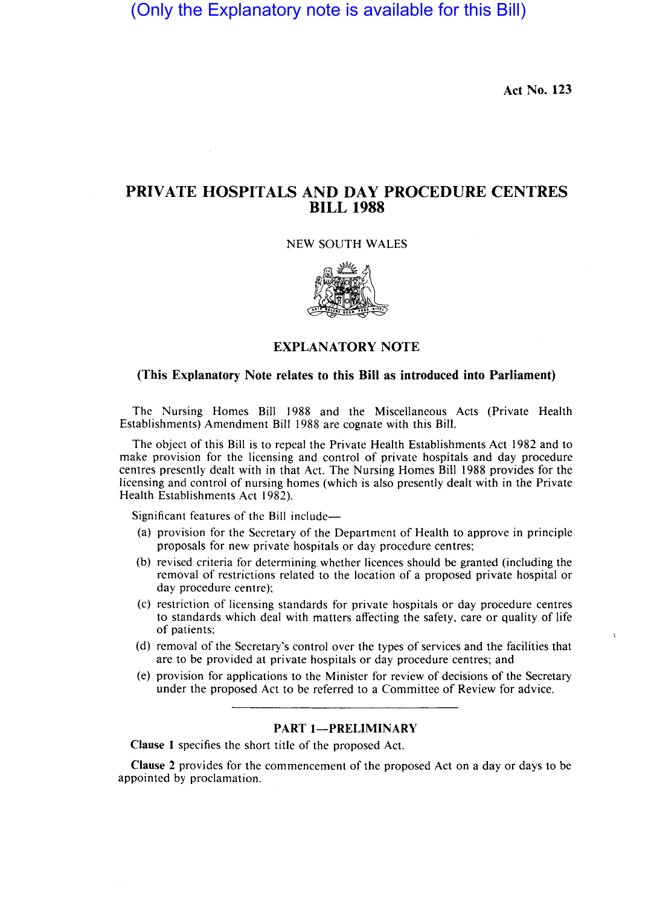(Only the Explanatory note is available for this Bill)

Act No. 123

# PRIVATE HOSPITALS AND DAY PROCEDURE CENTRES BILL 1988

NEW SOUTH WALES



## EXPLANATORY NOTE

## (This Explanatory Note relates to this Bill as introduced into Parliament)

The Nursing Homes Bill 1988 and the Miscellaneous Acts (Private Health Establishments) Amendment Bill 1988 are cognate with this Bill.

The object of this Bill is to repeal the Private Health Establishments Act 1982 and to make provision for the licensing and control of private hospitals and day procedure centres presently dealt with in that Act. The Nursing Homes Bill 1988 provides for the licensing and control of nursing homes (which is also presently dealt with in the Private Health Establishments Act 1982).

Significant features of the Bill include-

- (a) provision for the Secretary of the Department of Health to approve in principle proposals for new private hospitals or day procedure centres;
- (b) revised criteria for determining whether licences should be granted (including the removal of restrictions related to the location of a proposed private hospital or day procedure centre);
- (c) restriction of licensing standards for private hospitals or day procedure centres to standards which deal with matters affecting the safety, care or quality of life of patients;
- (d) removal of the Secretary's control over the types of services and the facilities that are to be provided at private hospitals or day procedure centres; and
- (e) provision for applications to the Minister for review of decisions of the Secretary under the proposed Act to be referred to a Committee of Review for advice.

#### PART 1-PRELIMINARY

Clause I specifies the short title of the proposed Act.

Clause 2 provides for the commencement of the proposed Act on a day or days to be appointed by proclamation.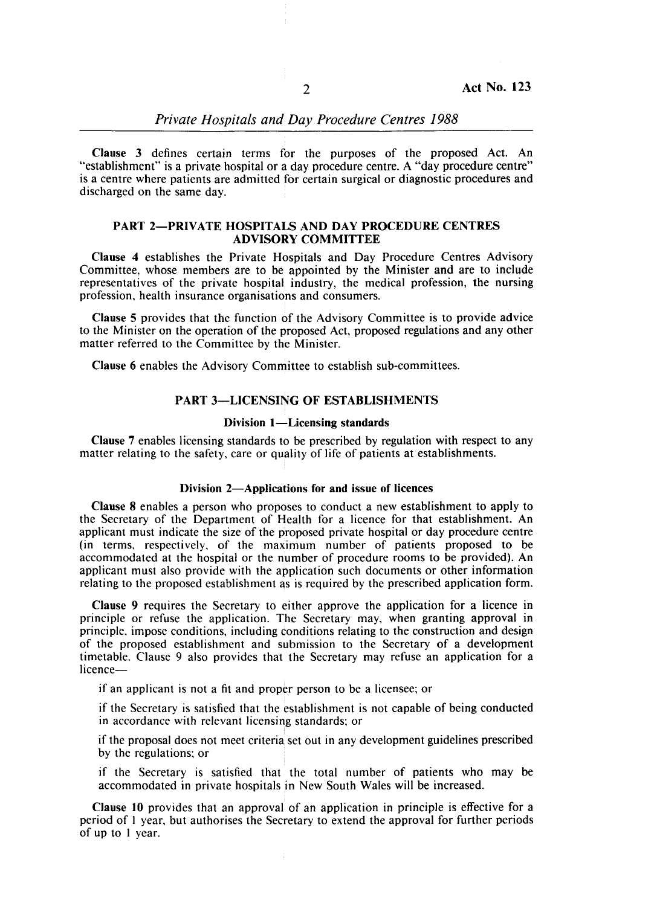## *Private Hospitals and Day Procedure Centres 1988*

Clause 3 defines certain terms for the purposes of the proposed Act. An "establishment" is a private hospital or *q* day procedure centre. A "day procedure centre" is a centre where patients are admitted for certain surgical or diagnostic procedures and discharged on the same day.

## PART 2-PRIVATE HOSPITALS AND DAY PROCEDURE CENTRES ADVISORY COMMITTEE

Clause 4 establishes the Private Hospitals and Day Procedure Centres Advisory Committee, whose members are to be appointed by the Minister and are to include representatives of the private hospital, industry, the medical profession, the nursing profession, health insurance organisations and consumers.

Clause 5 provides that the function of the Advisory Committee is to provide advice to the Minister on the operation of the proposed Act, proposed regulations and any other matter referred to the Committee by the Minister.

Clause 6 enables the Advisory Committee to establish sub-committees.

## PART 3-LICENSING OF ESTABLISHMENTS

#### Division 1-Licensing standards

Clause 7 enables licensing standards to be prescribed by regulation with respect to any matter relating to the safety, care or quality of life of patients at establishments.

## Division 2-Applications for and issue of licences

Clause 8 enables a person who proposes to conduct a new establishment to apply to the Secretary of the Department of Health for a licence for that establishment. An applicant must indicate the size of the proposed private hospital or day procedure centre (in terms, respectively, of the maximum number of patients proposed to be accommodated at the hospital or the number of procedure rooms to be provided). An applicant must also provide with the application such documents or other information relating to the proposed establishment as is required by the prescribed application form.

Clause 9 requires the Secretary to either approve the application for a licence in principle or refuse the application. The Secretary may, when granting approval in principle. impose conditions, including cionditions relating to the construction and design of the proposed establishment and submission to the Secretary of a development timetable. Clause 9 also provides that the Secretary may refuse an application for a licence-

if an applicant is not a fit and proper person to be a licensee; or

if the Secretary is satisfied that the establishment is not capable of being conducted in accordance with relevant licensing standards; or

if the proposal does not meet criteria set out in any development guidelines prescribed by the regulations; or

if the Secretary is satisfied that the total number of patients who may be accommodated in private hospitals in New South Wales will be increased.

Clause **10** provides that an approvall of an application in principle is effective for a period of I year, but authorises the Secretary to extend the approval for further periods of up to I year.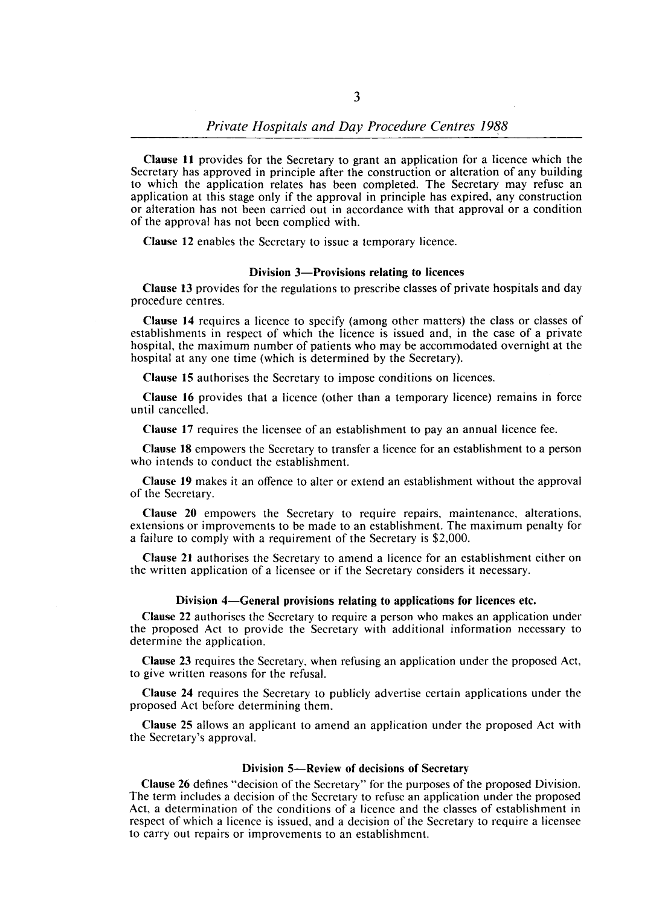Clause **11** provides for the Secretary to grant an application for a licence which the Secretary has approved in principle after the construction or alteration of any building to which the application relates has been completed. The Secretary may refuse an application at this stage only if the approval in principle has expired, any construction or alteration has not been carried out in accordance with that approval or a condition of the approval has not been complied with.

Clause 12 enables the Secretary to issue a temporary licence.

#### Division 3-Provisions relating to licences

Clause 13 provides for the regulations to prescribe classes of private hospitals and day procedure centres.

Clause 14 requires a licence to specify (among other matters) the class or classes of establishments in respect of which the licence is issued and, in the case of a private hospital, the maximum number of patients who may be accommodated overnight at the hospital at any one time (which is determined by the Secretary).

Clause 15 authorises the Secretary to impose conditions on licences.

Clause 16 provides that a licence (other than a temporary licence) remains in force until cancelled.

Clause 17 requires the licensee of an establishment to pay an annual licence fee.

Clause 18 empowers the Secretary to transfer a licence for an establishment to a person who intends to conduct the establishment.

Clause 19 makes it an offence to alter or extend an establishment without the approval of the Secretary.

Clause 20 empowers the Secretary to require repairs, maintenance, alterations, extensions or improvements to be made to an establishment. The maximum penalty for a failure to comply with a requirement of the Secretary is \$2,000.

Clause 21 authorises the Secretary to amend a licence for an establishment either on the written application of a licensee or if the Secretary considers it necessary.

#### Division 4—General provisions relating to applications for licences etc.

Clause 22 authorises the Secretary to require a person who makes an application under the proposed Act to provide the Secretary with additional information necessary to determine the application.

Clause 23 requires the Secretary, when refusing an application under the proposed Act, to give written reasons for the refusal.

Clause 24 requires the Secretary to publicly advertise certain applications under the proposed Act before determining them.

Clause 25 allows an applicant to amend an application under the proposed Act with the Secretary's approval.

#### Division 5-Review of decisions of Secretary

Clause 26 defines "decision of the Secretary" for the purposes of the proposed Division. The term includes a decision of the Secretary to refuse an application under the proposed Act, a determination of the conditions of a licence and the classes of establishment in respect of which a licence is issued, and a decision of the Secretary to require a licensee to carry out repairs or improvements to an establishment.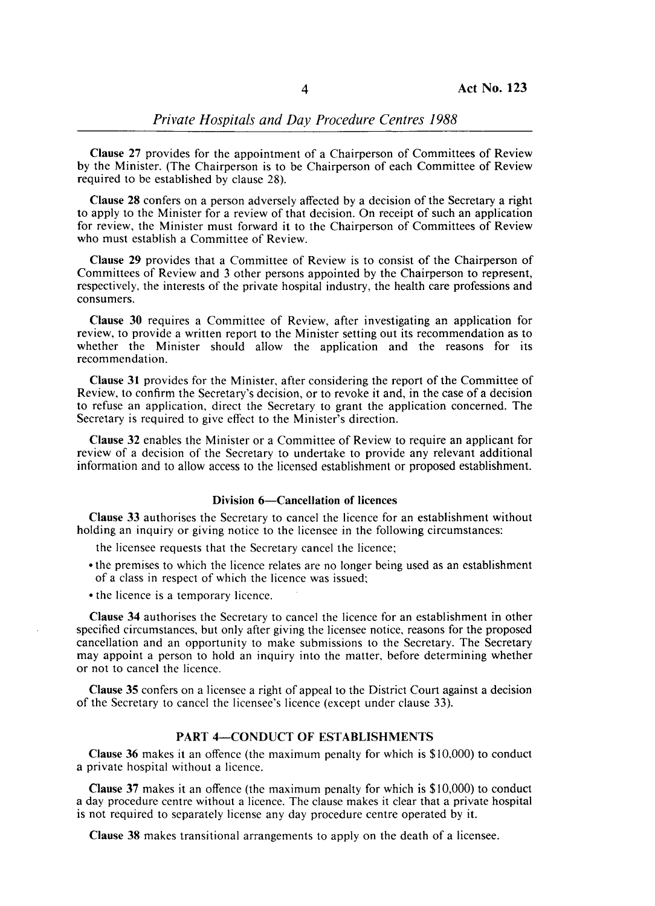Clause 27 provides for the appointment of a Chairperson of Committees of Review by the Minister. (The Chairperson is td be Chairperson of each Committee of Review required to be established by clause 28).

Clause 28 confers on a person adversely affected by a decision of the Secretary a right to apply to the Minister for a review of that decision. On receipt of such an application for review, the Minister must forward jt to the Chairperson of Committees of Review who must establish a Committee of Review.

Clause 29 provides that a Committee of Review is to consist of the Chairperson of Committees of Review and 3 other persons appointed by the Chairperson to represent, respectively, the interests of the private hospital industry, the health care professions and consumers.

Clause 30 requires a Committee of Review, after investigating an application for review, to provide a written report to the Minister setting out its recommendation as to whether the Minister should allow the application and the reasons for its recommendation. .

Clause 31 provides for the Minister, after considering the report of the Committee of Review, to confirm the Secretary's decision, or to revoke it and, in the case of a decision to refuse an application, direct the Secretary to grant the application concerned. The Secretary is required to give effect to the Minister's direction.

Clause 32 enables the Minister or a Committee of Review to require an applicant for review of a decision of the Secretary to undertake to provide any relevant additional information and to allow access to the licensed establishment or proposed establishment.

#### Division 6-Cancellation of licences

Clause 33 authorises the Secretary to cancel the licence for an establishment without holding an inquiry or giving notice to the licensee in the following circumstances:

the licensee requests that the Secretary cancel the licence;

- the premises to which the licence relates are no longer being used as an establishment of a class in respect of which the licence was issued;
- the licence is a temporary licence.

Clause 34 authorises the Secretary to cancel the licence for an establishment in other specified circumstances, but only after giving the licensee notice, reasons for the proposed cancellation and an opportunity to make submissions to the Secretary. The Secretary may appoint a person to hold an inquiry into the matter, before determining whether or not to cancel the licence.

Clause 35 confers on a licensee a right of appeal to the District Court against a decision of the Secretary to cancel the licensee's Ilicence (except under clause 33).

## PART 4-CONDUCT OF ESTABLISHMENTS

Clause 36 makes it an offence (the maximum penalty for which is \$10,000) to conduct a private hospital without a licence.

Clause 37 makes it an offence (the maximum penalty for which is  $$10,000$ ) to conduct a day procedure centre without a licence: The clause makes it clear that a private hospital is not required to separately license any day procedure centre operated by it.

Clause 38 makes transitional arrangements to apply on the death of a licensee.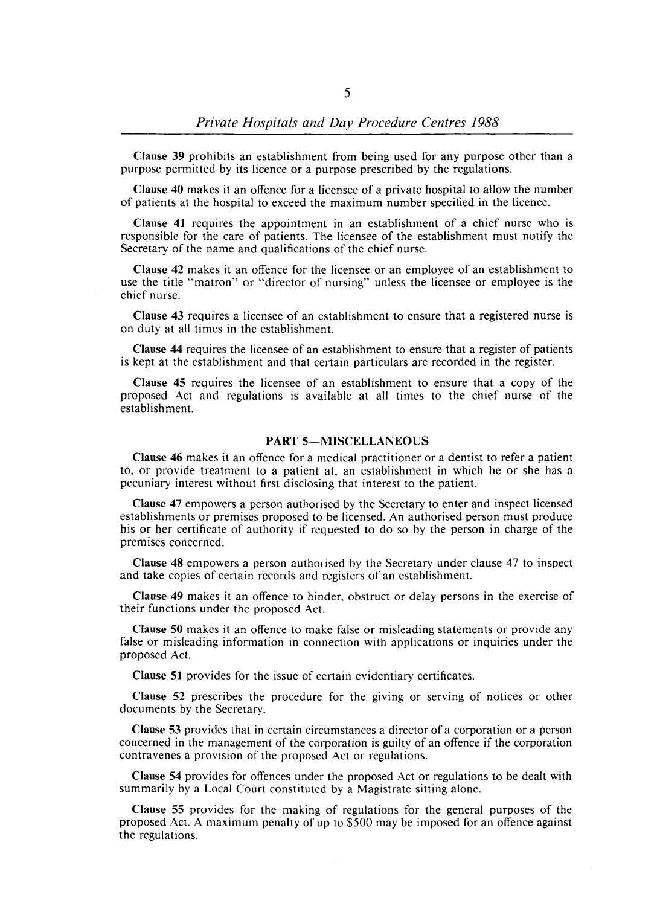Clause 39 prohibits an establishment from being used for any purpose other than a purpose permitted by its licence or a purpose prescribed by the regulations.

Clause 40 makes it an offence for a licensee of a private hospital to allow the number of patients at the hospital to exceed the maximum number specified in the licence.

Clause 41 requires the appointment in an establishment of a chief nurse who is responsible for the care of patients. The licensee of the establishment must notify the Secretary of the name and qualifications of the chief nurse.

Clause 42 makes it an offence for the licensee or an employee of an establishment to use the title "matron" or "director of nursing" unless the licensee or employee is the chief nurse.

Clause 43 requires a licensee of an establishment to ensure that a registered nurse is on duty at all times in the establishment.

Clause 44 requires the licensee of an establishment to ensure that a register of patients is kept at the establishment and that certain particulars are recorded in the register.

Clause 45 requires the licensee of an establishment to ensure that a copy of the proposed Act and regulations is available at all times to the chief nurse of the establishment.

## PART 5-MISCELLANEOUS

Clause 46 makes it an offence for a medical practitioner or a dentist to refer a patient to, or provide treatment to a patient at, an establishment in which he or she has a pecuniary interest without first disclosing that interest to the patient.

Clause 47 empowers a person authorised by the Secretary to enter and inspect licensed establishments or premises proposed to be licensed. An authorised person must produce his or her certificate of authority if requested to do so by the person in charge of the premises concerned.

Clause 48 empowers a person authorised by the Secretary under clause 47 to inspect and take copies of certain records and registers of an establishment.

Clause 49 makes it an offence to hinder, obstruct or delay persons in the exercise of their functions under the proposed Act.

Clause 50 makes it an offence to make false or misleading statements or provide any false or misleading information in connection with applications or inquiries under the proposed Act.

Clause 51 provides for the issue of certain evidentiary certificates.

Clause 52 prescribes the procedure for the giving or serving of notices or other documents by the Secretary.

Clause 53 provides that in certain circumstances a director of a corporation or a person concerned in the management of the corporation is guilty of an offence if the corporation contravenes a provision of the proposed Act or regulations.

Clause 54 provides for offences under the proposed Act or regulations to be dealt with summarily by a Local Court constituted by a Magistrate sitting alone.

Clause 55 provides for the making of regulations for the general purposes of the proposed Act. A maximum penalty of up to \$500 may be imposed for an offence against the regulations.